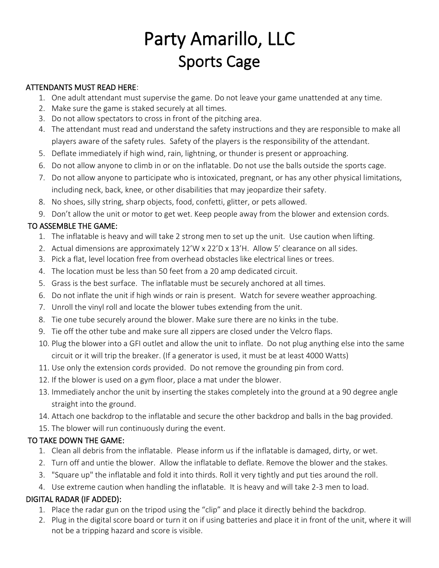# Party Amarillo, LLC Sports Cage

#### ATTENDANTS MUST READ HERE:

- 1. One adult attendant must supervise the game. Do not leave your game unattended at any time.
- 2. Make sure the game is staked securely at all times.
- 3. Do not allow spectators to cross in front of the pitching area.
- 4. The attendant must read and understand the safety instructions and they are responsible to make all players aware of the safety rules. Safety of the players is the responsibility of the attendant.
- 5. Deflate immediately if high wind, rain, lightning, or thunder is present or approaching.
- 6. Do not allow anyone to climb in or on the inflatable. Do not use the balls outside the sports cage.
- 7. Do not allow anyone to participate who is intoxicated, pregnant, or has any other physical limitations, including neck, back, knee, or other disabilities that may jeopardize their safety.
- 8. No shoes, silly string, sharp objects, food, confetti, glitter, or pets allowed.
- 9. Don't allow the unit or motor to get wet. Keep people away from the blower and extension cords.

### TO ASSEMBLE THE GAME:

- 1. The inflatable is heavy and will take 2 strong men to set up the unit. Use caution when lifting.
- 2. Actual dimensions are approximately 12'W x 22'D x 13'H. Allow 5' clearance on all sides.
- 3. Pick a flat, level location free from overhead obstacles like electrical lines or trees.
- 4. The location must be less than 50 feet from a 20 amp dedicated circuit.
- 5. Grass is the best surface. The inflatable must be securely anchored at all times.
- 6. Do not inflate the unit if high winds or rain is present. Watch for severe weather approaching.
- 7. Unroll the vinyl roll and locate the blower tubes extending from the unit.
- 8. Tie one tube securely around the blower. Make sure there are no kinks in the tube.
- 9. Tie off the other tube and make sure all zippers are closed under the Velcro flaps.
- 10. Plug the blower into a GFI outlet and allow the unit to inflate. Do not plug anything else into the same circuit or it will trip the breaker. (If a generator is used, it must be at least 4000 Watts)
- 11. Use only the extension cords provided. Do not remove the grounding pin from cord.
- 12. If the blower is used on a gym floor, place a mat under the blower.
- 13. Immediately anchor the unit by inserting the stakes completely into the ground at a 90 degree angle straight into the ground.
- 14. Attach one backdrop to the inflatable and secure the other backdrop and balls in the bag provided.
- 15. The blower will run continuously during the event.

#### TO TAKE DOWN THE GAME:

- 1. Clean all debris from the inflatable. Please inform us if the inflatable is damaged, dirty, or wet.
- 2. Turn off and untie the blower. Allow the inflatable to deflate. Remove the blower and the stakes.
- 3. "Square up" the inflatable and fold it into thirds. Roll it very tightly and put ties around the roll.
- 4. Use extreme caution when handling the inflatable. It is heavy and will take 2-3 men to load.

## DIGITAL RADAR (IF ADDED):

- 1. Place the radar gun on the tripod using the "clip" and place it directly behind the backdrop.
- 2. Plug in the digital score board or turn it on if using batteries and place it in front of the unit, where it will not be a tripping hazard and score is visible.